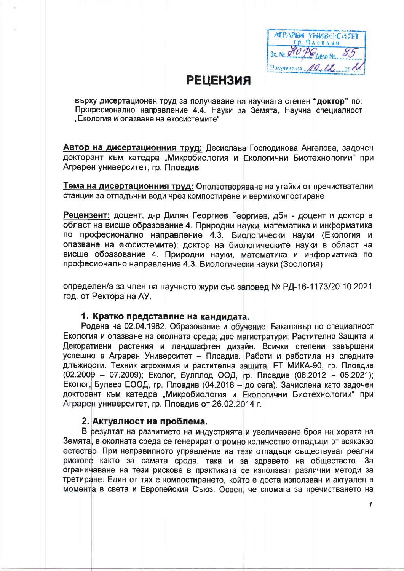**ATPAPEN VHIMBELCIATET** гр. Пловдив. Дело №... Получено на ... 00.12

### **РЕЦЕНЗИЯ**

върху дисертационен труд за получаване на научната степен "доктор" по: Професионално направление 4.4. Науки за Земята, Научна специалност "Екология и опазване на екосистемите"

Автор на дисертационния труд: Десислава Господинова Ангелова, задочен докторант към катедра "Микробиология и Екологични Биотехнологии" при Аграрен университет, гр. Пловдив

Тема на дисертационния труд: Оползотворяване на утайки от пречиствателни станции за отпадъчни води чрез компостиране и вермикомпостиране

Рецензент: доцент, д-р Дилян Георгиев Георгиев, дбн - доцент и доктор в област на висше образование 4. Природни науки, математика и информатика по професионално направление 4.3. Биологически науки (Екология и опазване на екосистемите); доктор на биологическите науки в област на висше образование 4. Природни науки, математика и информатика по професионално направление 4.3. Биологически науки (Зоология)

определен/а за член на научното жури със заповед № РД-16-1173/20.10.2021 год. от Ректора на АУ.

#### 1. Кратко представяне на кандидата.

Родена на 02.04.1982. Образование и обучение: Бакалавър по специалност Екология и опазване на околната среда; две магистратури: Растителна Защита и Декоративни растения и ландшафтен дизайн. Всички степени завършени успешно в Аграрен Университет - Пловдив. Работи и работила на следните длъжности: Техник агрохимия и растителна защита, ЕТ МИКА-90, гр. Пловдив (02.2009 - 07.2009); Еколог, Булплод ООД, гр. Пловдив (08.2012 - 05.2021); Еколог, Булвер ЕООД, гр. Пловдив (04.2018 - до сега). Зачислена като задочен докторант към катедра "Микробиология и Екологични Биотехнологии" при Аграрен университет, гр. Пловдив от 26.02.2014 г.

#### 2. Актуалност на проблема.

В резултат на развитието на индустрията и увеличаване броя на хората на Земята, в околната среда се генерират огромно количество отпадъци от всякакво естество. При неправилното управление на тези отпадъци съществуват реални рискове както за самата среда, така и за здравето на обществото. За ограничаване на тези рискове в практиката се използват различни методи за третиране. Един от тях е компостирането, който е доста използван и актуален в момента в света и Европейския Съюз. Освен, че спомага за пречистването на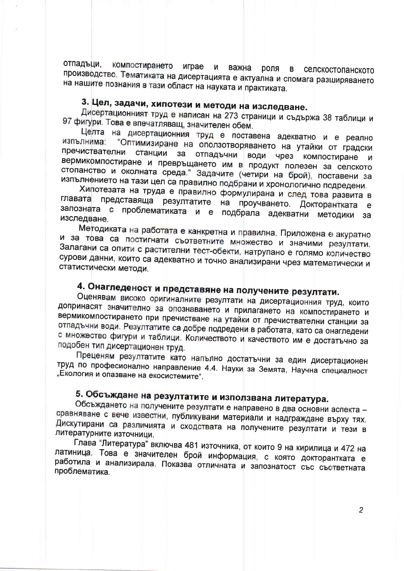отпадъци. компостирането играе N важна роля селскостопанското  $\mathbf{B}$ производство. Тематиката на дисертацията е актуална и спомага разширяването на нашите познания в тази област на науката и практиката.

### 3. Цел, задачи, хипотези и методи на изследване.

Дисертационният труд е написан на 273 страници и съдържа 38 таблици и 97 фигури. Това е впечатляващ, значителен обем.

Целта на дисертационния труд е поставена адекватно и е реално изпълнима: "Оптимизиране на оползотворяването на утайки от градски пречиствателни станции за отпадъчни води чрез компостиране и вермикрмпостиране и превръщането им в продукт полезен за селското стопанство и околната среда." Задачите (четири на брой), поставени за изпълнението на тази цел са правилно подбрани и хронологично подредени.

Хипотезата на труда е правилно формулирана и след това развита в главата представяща резултатите на проучването. Докторантката  $\epsilon$ запозната с проблематиката и е подбрала адекватни методики за изследване.

Методиката на работата е канкретна и правилна. Приложена е акуратно и за това са постигнати съответните множество и значими резултати. Залагани са опити с растителни тест-обекти, натрупано е голямо количество сурови данни, които са адекватно и точно анализирани чрез математически и статистически методи.

# 4. Онагледеност и представяне на получените резултати.

Оценявам високо оригиналните резултати на дисертационния труд, които допринасят значително за опознаването и прилагането на компостирането и вермикомпостирането при пречистване на утайки от пречиствателни станции за отпадъчни води. Резултатите са добре подредени в работата, като са онагледени с множество фигури и таблици. Количеството и качеството им е достатъчно за подобен тип дисертационен труд.

Преценям резултатите като напълно достатъчни за един дисертационен труд по професионално направление 4.4. Науки за Земята, Научна специалност "Екология и опазване на екосистемите".

# 5. Обсъждане на резултатите и използвана литература.

Обсъждането на получените резултати е направено в два основни аспекта сравняване с вече известни, публикувани материали и надграждане върху тях. Дискутирани са различията и сходствата на получените резултати и тези в литературните източници.

Глава "Литература" включва 481 източника, от които 9 на кирилица и 472 на латиница. Това е значителен брой информация, с която докторантката е работила и анализирала. Показва отличната и запознатост със съответната проблематика.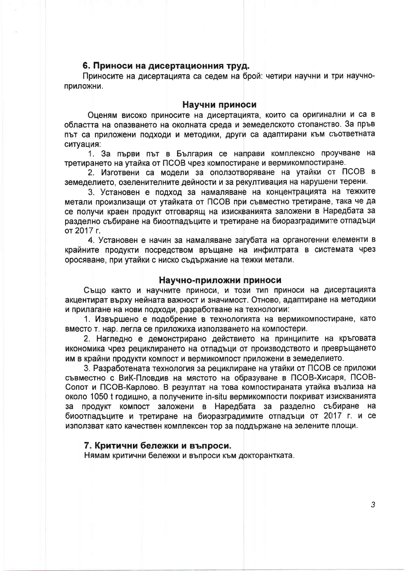#### 6. Приноси на дисертационния труд.

Приносите на дисертацията са седем на брой: четири научни и три научноприложни.

#### Научни приноси

Оценям високо приносите на дисертацията, които са оригинални и са в областта на опазването на околната среда и земеделското стопанство. За пръв път са приложени подходи и методики, други са адаптирани към съответната ситуация:

1. За първи път в България се направи комплексно проучване на третирането на утайка от ПСОВ чрез компостиране и вермикомпостиране.

2. Изготвени са модели за оползотворяване на утайки от ПСОВ в земеделието, озеленителните дейности и за рекултивация на нарушени терени.

3. Установен е подход за намаляване на концентрацията на тежките метали произлизащи от утайката от ПСОВ при съвместно третиране, така че да се получи краен продукт отговарящ на изискванията заложени в Наредбата за разделно събиране на биоотпадъците и третиране на биоразградимите отпадъци от 2017 г.

4. Установен е начин за намаляване загубата на органогенни елементи в крайните продукти посредством връщане на инфилтрата в системата чрез оросяване, при утайки с ниско съдържание на тежки метали.

#### Научно-приложни приноси

Също както и научните приноси, и този тип приноси на дисертацията акцентират върху нейната важност и значимост. Отново, адаптиране на методики и прилагане на нови подходи, разработване на технологии:

1. Извършено е подобрение в технологията на вермикомпостиране, като вместо т. нар. легла се приложиха използването на компостери.

2. Нагледно е демонстрирано действието на принципите на кръговата икономика чрез рециклирането на отпадъци от производството и превръщането им в крайни продукти компост и вермикомпост приложени в земеделието.

3. Разработената технология за рециклиране на утайки от ПСОВ се приложи съвместно с ВиК-Пловдив на мястото на образуване в ПСОВ-Хисаря, ПСОВ-Сопот и ПСОВ-Карлово. В резултат на това компостираната утайка възлиза на около 1050 t годишно, а получените in-situ вермикомпости покриват изискванията за продукт компост заложени в Наредбата за разделно събиране на биоотпадъците и третиране на биоразградимите отпадъци от 2017 г. и се използват като качествен комплексен тор за поддържане на зелените площи.

#### 7. Критични бележки и въпроси.

Нямам критични бележки и въпроси към докторантката.